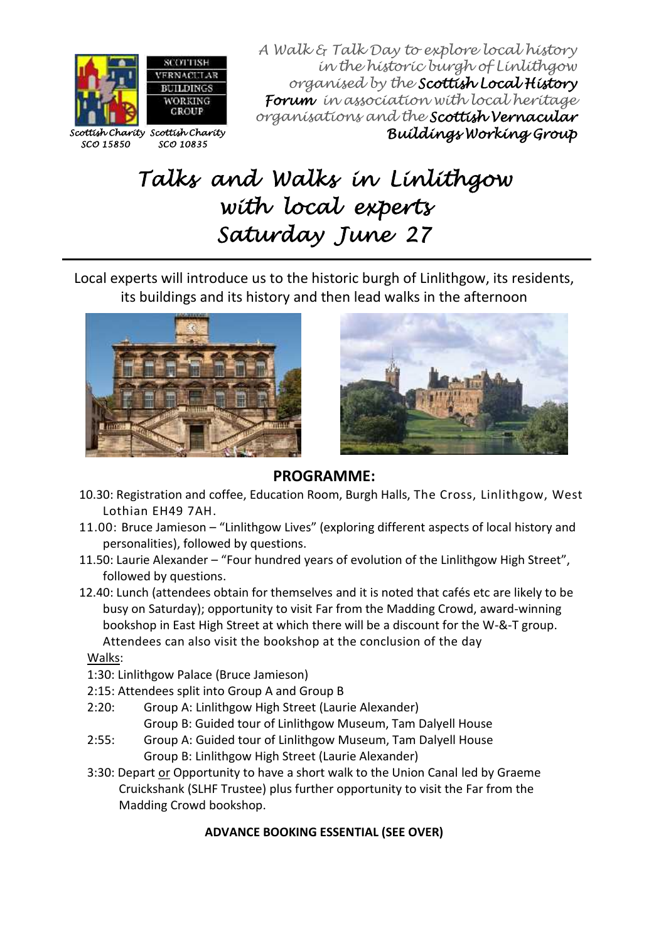

A Walk & Talk Day to explore local history in the historic burgh of Linlithgow organised by the **Scottish Local History Forum** in association with local heritage organisations and the **Scottish Vernacular Buildings Working Group**

# **Talks and Walks in Linlithgow with local experts Saturday June 27**

Local experts will introduce us to the historic burgh of Linlithgow, its residents, its buildings and its history and then lead walks in the afternoon





## **PROGRAMME:**

- 10.30: Registration and coffee, Education Room, Burgh Halls, The Cross, Linlithgow, West Lothian EH49 7AH.
- 11.00: Bruce Jamieson "Linlithgow Lives" (exploring different aspects of local history and personalities), followed by questions.
- 11.50: Laurie Alexander "Four hundred years of evolution of the Linlithgow High Street", followed by questions.
- 12.40: Lunch (attendees obtain for themselves and it is noted that cafés etc are likely to be busy on Saturday); opportunity to visit Far from the Madding Crowd, award-winning bookshop in East High Street at which there will be a discount for the W-&-T group. Attendees can also visit the bookshop at the conclusion of the day

Walks:

- 1:30: Linlithgow Palace (Bruce Jamieson)
- 2:15: Attendees split into Group A and Group B
- 2:20: Group A: Linlithgow High Street (Laurie Alexander) Group B: Guided tour of Linlithgow Museum, Tam Dalyell House
- 2:55: Group A: Guided tour of Linlithgow Museum, Tam Dalyell House Group B: Linlithgow High Street (Laurie Alexander)
- 3:30: Depart or Opportunity to have a short walk to the Union Canal led by Graeme Cruickshank (SLHF Trustee) plus further opportunity to visit the Far from the Madding Crowd bookshop.

## **ADVANCE BOOKING ESSENTIAL (SEE OVER)**